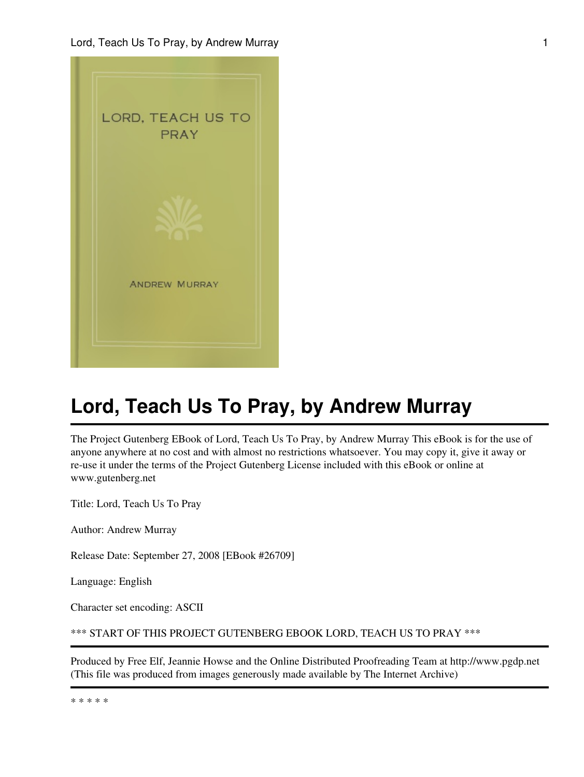

# **Lord, Teach Us To Pray, by Andrew Murray**

The Project Gutenberg EBook of Lord, Teach Us To Pray, by Andrew Murray This eBook is for the use of anyone anywhere at no cost and with almost no restrictions whatsoever. You may copy it, give it away or re-use it under the terms of the Project Gutenberg License included with this eBook or online at www.gutenberg.net

Title: Lord, Teach Us To Pray

Author: Andrew Murray

Release Date: September 27, 2008 [EBook #26709]

Language: English

Character set encoding: ASCII

```
*** START OF THIS PROJECT GUTENBERG EBOOK LORD, TEACH US TO PRAY ***
```
Produced by Free Elf, Jeannie Howse and the Online Distributed Proofreading Team at http://www.pgdp.net (This file was produced from images generously made available by The Internet Archive)

\* \* \* \* \*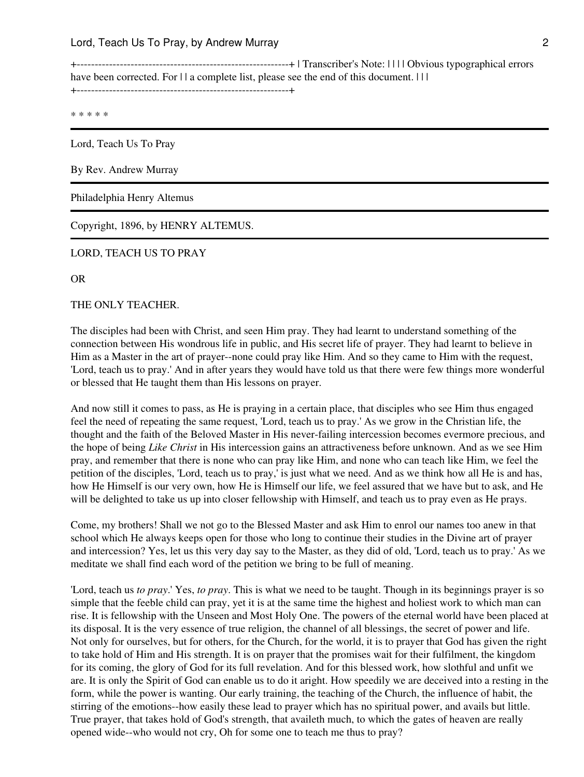+-----------------------------------------------------------+ | Transcriber's Note: | | | | Obvious typographical errors have been corrected. For  $|| \cdot ||$  a complete list, please see the end of this document.  $|| \cdot ||$ +-----------------------------------------------------------+

\* \* \* \* \*

Lord, Teach Us To Pray

By Rev. Andrew Murray

Philadelphia Henry Altemus

Copyright, 1896, by HENRY ALTEMUS.

LORD, TEACH US TO PRAY

OR

THE ONLY TEACHER.

The disciples had been with Christ, and seen Him pray. They had learnt to understand something of the connection between His wondrous life in public, and His secret life of prayer. They had learnt to believe in Him as a Master in the art of prayer--none could pray like Him. And so they came to Him with the request, 'Lord, teach us to pray.' And in after years they would have told us that there were few things more wonderful or blessed that He taught them than His lessons on prayer.

And now still it comes to pass, as He is praying in a certain place, that disciples who see Him thus engaged feel the need of repeating the same request, 'Lord, teach us to pray.' As we grow in the Christian life, the thought and the faith of the Beloved Master in His never-failing intercession becomes evermore precious, and the hope of being *Like Christ* in His intercession gains an attractiveness before unknown. And as we see Him pray, and remember that there is none who can pray like Him, and none who can teach like Him, we feel the petition of the disciples, 'Lord, teach us to pray,' is just what we need. And as we think how all He is and has, how He Himself is our very own, how He is Himself our life, we feel assured that we have but to ask, and He will be delighted to take us up into closer fellowship with Himself, and teach us to pray even as He prays.

Come, my brothers! Shall we not go to the Blessed Master and ask Him to enrol our names too anew in that school which He always keeps open for those who long to continue their studies in the Divine art of prayer and intercession? Yes, let us this very day say to the Master, as they did of old, 'Lord, teach us to pray.' As we meditate we shall find each word of the petition we bring to be full of meaning.

'Lord, teach us *to pray*.' Yes, *to pray*. This is what we need to be taught. Though in its beginnings prayer is so simple that the feeble child can pray, yet it is at the same time the highest and holiest work to which man can rise. It is fellowship with the Unseen and Most Holy One. The powers of the eternal world have been placed at its disposal. It is the very essence of true religion, the channel of all blessings, the secret of power and life. Not only for ourselves, but for others, for the Church, for the world, it is to prayer that God has given the right to take hold of Him and His strength. It is on prayer that the promises wait for their fulfilment, the kingdom for its coming, the glory of God for its full revelation. And for this blessed work, how slothful and unfit we are. It is only the Spirit of God can enable us to do it aright. How speedily we are deceived into a resting in the form, while the power is wanting. Our early training, the teaching of the Church, the influence of habit, the stirring of the emotions--how easily these lead to prayer which has no spiritual power, and avails but little. True prayer, that takes hold of God's strength, that availeth much, to which the gates of heaven are really opened wide--who would not cry, Oh for some one to teach me thus to pray?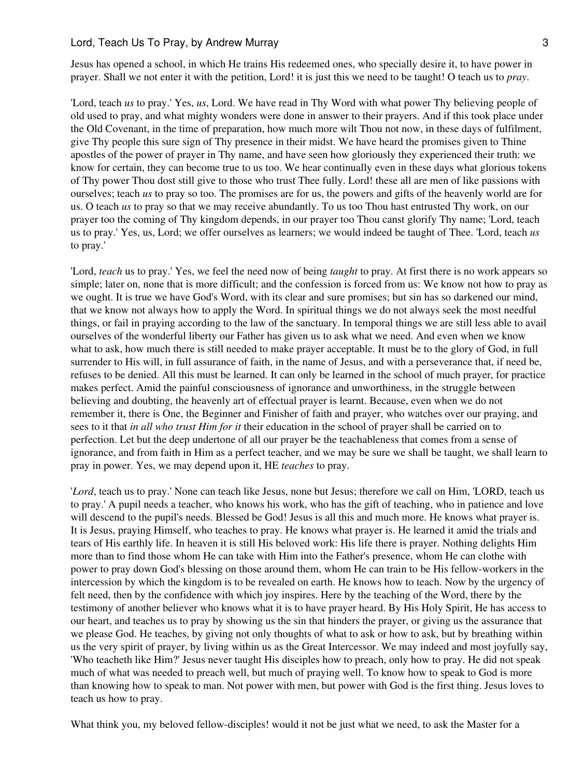Jesus has opened a school, in which He trains His redeemed ones, who specially desire it, to have power in prayer. Shall we not enter it with the petition, Lord! it is just this we need to be taught! O teach us to *pray*.

'Lord, teach *us* to pray.' Yes, *us*, Lord. We have read in Thy Word with what power Thy believing people of old used to pray, and what mighty wonders were done in answer to their prayers. And if this took place under the Old Covenant, in the time of preparation, how much more wilt Thou not now, in these days of fulfilment, give Thy people this sure sign of Thy presence in their midst. We have heard the promises given to Thine apostles of the power of prayer in Thy name, and have seen how gloriously they experienced their truth: we know for certain, they can become true to us too. We hear continually even in these days what glorious tokens of Thy power Thou dost still give to those who trust Thee fully. Lord! these all are men of like passions with ourselves; teach *us* to pray so too. The promises are for us, the powers and gifts of the heavenly world are for us. O teach *us* to pray so that we may receive abundantly. To us too Thou hast entrusted Thy work, on our prayer too the coming of Thy kingdom depends, in our prayer too Thou canst glorify Thy name; 'Lord, teach us to pray.' Yes, us, Lord; we offer ourselves as learners; we would indeed be taught of Thee. 'Lord, teach *us* to pray.'

'Lord, *teach* us to pray.' Yes, we feel the need now of being *taught* to pray. At first there is no work appears so simple; later on, none that is more difficult; and the confession is forced from us: We know not how to pray as we ought. It is true we have God's Word, with its clear and sure promises; but sin has so darkened our mind, that we know not always how to apply the Word. In spiritual things we do not always seek the most needful things, or fail in praying according to the law of the sanctuary. In temporal things we are still less able to avail ourselves of the wonderful liberty our Father has given us to ask what we need. And even when we know what to ask, how much there is still needed to make prayer acceptable. It must be to the glory of God, in full surrender to His will, in full assurance of faith, in the name of Jesus, and with a perseverance that, if need be, refuses to be denied. All this must be learned. It can only be learned in the school of much prayer, for practice makes perfect. Amid the painful consciousness of ignorance and unworthiness, in the struggle between believing and doubting, the heavenly art of effectual prayer is learnt. Because, even when we do not remember it, there is One, the Beginner and Finisher of faith and prayer, who watches over our praying, and sees to it that *in all who trust Him for it* their education in the school of prayer shall be carried on to perfection. Let but the deep undertone of all our prayer be the teachableness that comes from a sense of ignorance, and from faith in Him as a perfect teacher, and we may be sure we shall be taught, we shall learn to pray in power. Yes, we may depend upon it, HE *teaches* to pray.

'*Lord*, teach us to pray.' None can teach like Jesus, none but Jesus; therefore we call on Him, 'LORD, teach us to pray.' A pupil needs a teacher, who knows his work, who has the gift of teaching, who in patience and love will descend to the pupil's needs. Blessed be God! Jesus is all this and much more. He knows what prayer is. It is Jesus, praying Himself, who teaches to pray. He knows what prayer is. He learned it amid the trials and tears of His earthly life. In heaven it is still His beloved work: His life there is prayer. Nothing delights Him more than to find those whom He can take with Him into the Father's presence, whom He can clothe with power to pray down God's blessing on those around them, whom He can train to be His fellow-workers in the intercession by which the kingdom is to be revealed on earth. He knows how to teach. Now by the urgency of felt need, then by the confidence with which joy inspires. Here by the teaching of the Word, there by the testimony of another believer who knows what it is to have prayer heard. By His Holy Spirit, He has access to our heart, and teaches us to pray by showing us the sin that hinders the prayer, or giving us the assurance that we please God. He teaches, by giving not only thoughts of what to ask or how to ask, but by breathing within us the very spirit of prayer, by living within us as the Great Intercessor. We may indeed and most joyfully say, 'Who teacheth like Him?' Jesus never taught His disciples how to preach, only how to pray. He did not speak much of what was needed to preach well, but much of praying well. To know how to speak to God is more than knowing how to speak to man. Not power with men, but power with God is the first thing. Jesus loves to teach us how to pray.

What think you, my beloved fellow-disciples! would it not be just what we need, to ask the Master for a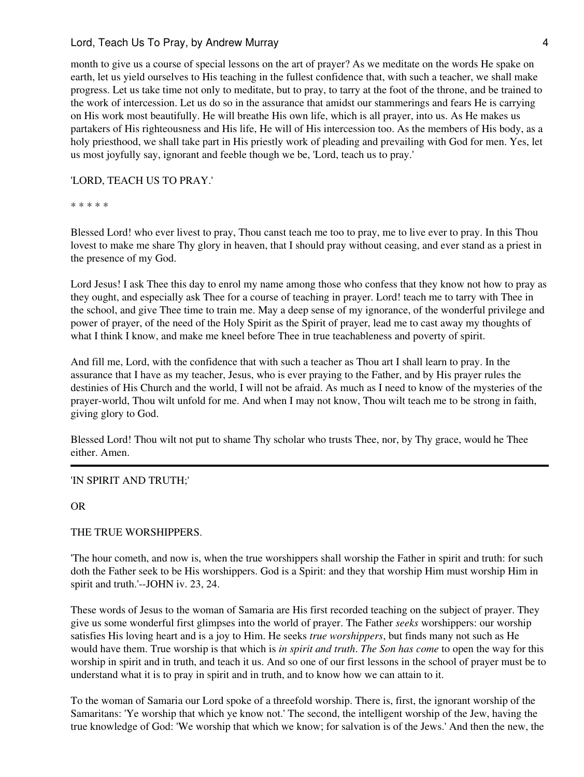month to give us a course of special lessons on the art of prayer? As we meditate on the words He spake on earth, let us yield ourselves to His teaching in the fullest confidence that, with such a teacher, we shall make progress. Let us take time not only to meditate, but to pray, to tarry at the foot of the throne, and be trained to the work of intercession. Let us do so in the assurance that amidst our stammerings and fears He is carrying on His work most beautifully. He will breathe His own life, which is all prayer, into us. As He makes us partakers of His righteousness and His life, He will of His intercession too. As the members of His body, as a holy priesthood, we shall take part in His priestly work of pleading and prevailing with God for men. Yes, let us most joyfully say, ignorant and feeble though we be, 'Lord, teach us to pray.'

# 'LORD, TEACH US TO PRAY.'

#### \* \* \* \* \*

Blessed Lord! who ever livest to pray, Thou canst teach me too to pray, me to live ever to pray. In this Thou lovest to make me share Thy glory in heaven, that I should pray without ceasing, and ever stand as a priest in the presence of my God.

Lord Jesus! I ask Thee this day to enrol my name among those who confess that they know not how to pray as they ought, and especially ask Thee for a course of teaching in prayer. Lord! teach me to tarry with Thee in the school, and give Thee time to train me. May a deep sense of my ignorance, of the wonderful privilege and power of prayer, of the need of the Holy Spirit as the Spirit of prayer, lead me to cast away my thoughts of what I think I know, and make me kneel before Thee in true teachableness and poverty of spirit.

And fill me, Lord, with the confidence that with such a teacher as Thou art I shall learn to pray. In the assurance that I have as my teacher, Jesus, who is ever praying to the Father, and by His prayer rules the destinies of His Church and the world, I will not be afraid. As much as I need to know of the mysteries of the prayer-world, Thou wilt unfold for me. And when I may not know, Thou wilt teach me to be strong in faith, giving glory to God.

Blessed Lord! Thou wilt not put to shame Thy scholar who trusts Thee, nor, by Thy grace, would he Thee either. Amen.

#### 'IN SPIRIT AND TRUTH;'

OR

#### THE TRUE WORSHIPPERS.

'The hour cometh, and now is, when the true worshippers shall worship the Father in spirit and truth: for such doth the Father seek to be His worshippers. God is a Spirit: and they that worship Him must worship Him in spirit and truth.'--JOHN iv. 23, 24.

These words of Jesus to the woman of Samaria are His first recorded teaching on the subject of prayer. They give us some wonderful first glimpses into the world of prayer. The Father *seeks* worshippers: our worship satisfies His loving heart and is a joy to Him. He seeks *true worshippers*, but finds many not such as He would have them. True worship is that which is *in spirit and truth*. *The Son has come* to open the way for this worship in spirit and in truth, and teach it us. And so one of our first lessons in the school of prayer must be to understand what it is to pray in spirit and in truth, and to know how we can attain to it.

To the woman of Samaria our Lord spoke of a threefold worship. There is, first, the ignorant worship of the Samaritans: 'Ye worship that which ye know not.' The second, the intelligent worship of the Jew, having the true knowledge of God: 'We worship that which we know; for salvation is of the Jews.' And then the new, the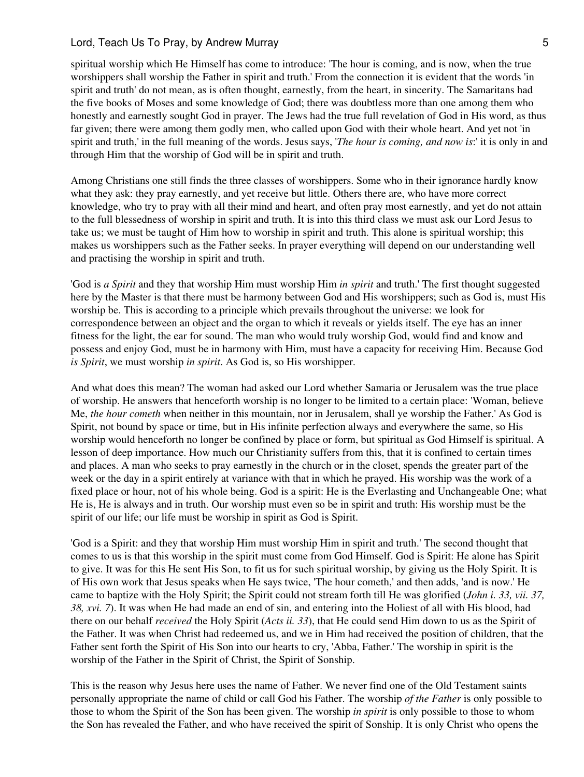spiritual worship which He Himself has come to introduce: 'The hour is coming, and is now, when the true worshippers shall worship the Father in spirit and truth.' From the connection it is evident that the words 'in spirit and truth' do not mean, as is often thought, earnestly, from the heart, in sincerity. The Samaritans had the five books of Moses and some knowledge of God; there was doubtless more than one among them who honestly and earnestly sought God in prayer. The Jews had the true full revelation of God in His word, as thus far given; there were among them godly men, who called upon God with their whole heart. And yet not 'in spirit and truth,' in the full meaning of the words. Jesus says, '*The hour is coming, and now is*:' it is only in and through Him that the worship of God will be in spirit and truth.

Among Christians one still finds the three classes of worshippers. Some who in their ignorance hardly know what they ask: they pray earnestly, and yet receive but little. Others there are, who have more correct knowledge, who try to pray with all their mind and heart, and often pray most earnestly, and yet do not attain to the full blessedness of worship in spirit and truth. It is into this third class we must ask our Lord Jesus to take us; we must be taught of Him how to worship in spirit and truth. This alone is spiritual worship; this makes us worshippers such as the Father seeks. In prayer everything will depend on our understanding well and practising the worship in spirit and truth.

'God is *a Spirit* and they that worship Him must worship Him *in spirit* and truth.' The first thought suggested here by the Master is that there must be harmony between God and His worshippers; such as God is, must His worship be. This is according to a principle which prevails throughout the universe: we look for correspondence between an object and the organ to which it reveals or yields itself. The eye has an inner fitness for the light, the ear for sound. The man who would truly worship God, would find and know and possess and enjoy God, must be in harmony with Him, must have a capacity for receiving Him. Because God *is Spirit*, we must worship *in spirit*. As God is, so His worshipper.

And what does this mean? The woman had asked our Lord whether Samaria or Jerusalem was the true place of worship. He answers that henceforth worship is no longer to be limited to a certain place: 'Woman, believe Me, *the hour cometh* when neither in this mountain, nor in Jerusalem, shall ye worship the Father.' As God is Spirit, not bound by space or time, but in His infinite perfection always and everywhere the same, so His worship would henceforth no longer be confined by place or form, but spiritual as God Himself is spiritual. A lesson of deep importance. How much our Christianity suffers from this, that it is confined to certain times and places. A man who seeks to pray earnestly in the church or in the closet, spends the greater part of the week or the day in a spirit entirely at variance with that in which he prayed. His worship was the work of a fixed place or hour, not of his whole being. God is a spirit: He is the Everlasting and Unchangeable One; what He is, He is always and in truth. Our worship must even so be in spirit and truth: His worship must be the spirit of our life; our life must be worship in spirit as God is Spirit.

'God is a Spirit: and they that worship Him must worship Him in spirit and truth.' The second thought that comes to us is that this worship in the spirit must come from God Himself. God is Spirit: He alone has Spirit to give. It was for this He sent His Son, to fit us for such spiritual worship, by giving us the Holy Spirit. It is of His own work that Jesus speaks when He says twice, 'The hour cometh,' and then adds, 'and is now.' He came to baptize with the Holy Spirit; the Spirit could not stream forth till He was glorified (*John i. 33, vii. 37, 38, xvi. 7*). It was when He had made an end of sin, and entering into the Holiest of all with His blood, had there on our behalf *received* the Holy Spirit (*Acts ii. 33*), that He could send Him down to us as the Spirit of the Father. It was when Christ had redeemed us, and we in Him had received the position of children, that the Father sent forth the Spirit of His Son into our hearts to cry, 'Abba, Father.' The worship in spirit is the worship of the Father in the Spirit of Christ, the Spirit of Sonship.

This is the reason why Jesus here uses the name of Father. We never find one of the Old Testament saints personally appropriate the name of child or call God his Father. The worship *of the Father* is only possible to those to whom the Spirit of the Son has been given. The worship *in spirit* is only possible to those to whom the Son has revealed the Father, and who have received the spirit of Sonship. It is only Christ who opens the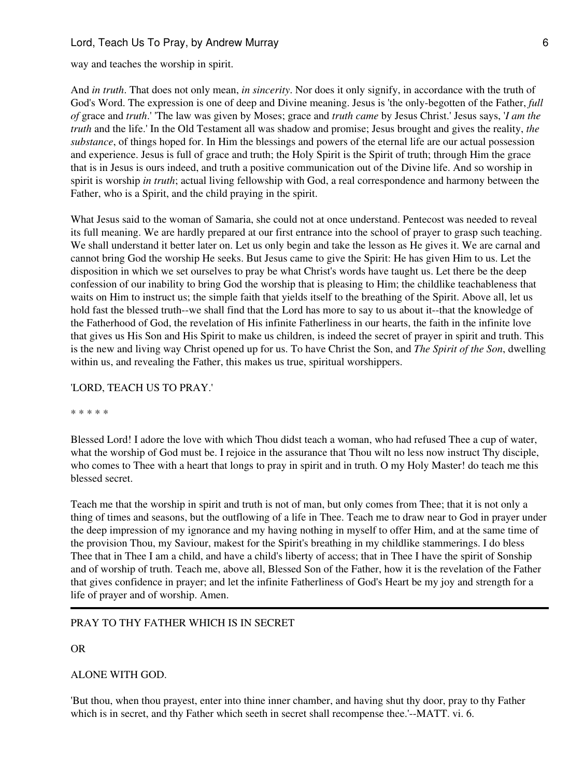way and teaches the worship in spirit.

And *in truth*. That does not only mean, *in sincerity*. Nor does it only signify, in accordance with the truth of God's Word. The expression is one of deep and Divine meaning. Jesus is 'the only-begotten of the Father, *full of* grace and *truth*.' 'The law was given by Moses; grace and *truth came* by Jesus Christ.' Jesus says, '*I am the truth* and the life.' In the Old Testament all was shadow and promise; Jesus brought and gives the reality, *the substance*, of things hoped for. In Him the blessings and powers of the eternal life are our actual possession and experience. Jesus is full of grace and truth; the Holy Spirit is the Spirit of truth; through Him the grace that is in Jesus is ours indeed, and truth a positive communication out of the Divine life. And so worship in spirit is worship *in truth*; actual living fellowship with God, a real correspondence and harmony between the Father, who is a Spirit, and the child praying in the spirit.

What Jesus said to the woman of Samaria, she could not at once understand. Pentecost was needed to reveal its full meaning. We are hardly prepared at our first entrance into the school of prayer to grasp such teaching. We shall understand it better later on. Let us only begin and take the lesson as He gives it. We are carnal and cannot bring God the worship He seeks. But Jesus came to give the Spirit: He has given Him to us. Let the disposition in which we set ourselves to pray be what Christ's words have taught us. Let there be the deep confession of our inability to bring God the worship that is pleasing to Him; the childlike teachableness that waits on Him to instruct us; the simple faith that yields itself to the breathing of the Spirit. Above all, let us hold fast the blessed truth--we shall find that the Lord has more to say to us about it--that the knowledge of the Fatherhood of God, the revelation of His infinite Fatherliness in our hearts, the faith in the infinite love that gives us His Son and His Spirit to make us children, is indeed the secret of prayer in spirit and truth. This is the new and living way Christ opened up for us. To have Christ the Son, and *The Spirit of the Son*, dwelling within us, and revealing the Father, this makes us true, spiritual worshippers.

#### 'LORD, TEACH US TO PRAY.'

\* \* \* \* \*

Blessed Lord! I adore the love with which Thou didst teach a woman, who had refused Thee a cup of water, what the worship of God must be. I rejoice in the assurance that Thou wilt no less now instruct Thy disciple, who comes to Thee with a heart that longs to pray in spirit and in truth. O my Holy Master! do teach me this blessed secret.

Teach me that the worship in spirit and truth is not of man, but only comes from Thee; that it is not only a thing of times and seasons, but the outflowing of a life in Thee. Teach me to draw near to God in prayer under the deep impression of my ignorance and my having nothing in myself to offer Him, and at the same time of the provision Thou, my Saviour, makest for the Spirit's breathing in my childlike stammerings. I do bless Thee that in Thee I am a child, and have a child's liberty of access; that in Thee I have the spirit of Sonship and of worship of truth. Teach me, above all, Blessed Son of the Father, how it is the revelation of the Father that gives confidence in prayer; and let the infinite Fatherliness of God's Heart be my joy and strength for a life of prayer and of worship. Amen.

# PRAY TO THY FATHER WHICH IS IN SECRET

OR

#### ALONE WITH GOD.

'But thou, when thou prayest, enter into thine inner chamber, and having shut thy door, pray to thy Father which is in secret, and thy Father which seeth in secret shall recompense thee.'--MATT. vi. 6.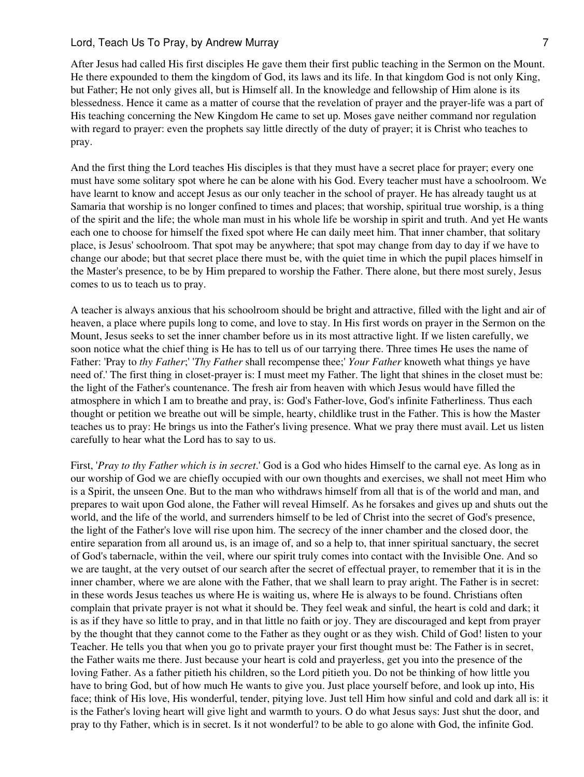After Jesus had called His first disciples He gave them their first public teaching in the Sermon on the Mount. He there expounded to them the kingdom of God, its laws and its life. In that kingdom God is not only King, but Father; He not only gives all, but is Himself all. In the knowledge and fellowship of Him alone is its blessedness. Hence it came as a matter of course that the revelation of prayer and the prayer-life was a part of His teaching concerning the New Kingdom He came to set up. Moses gave neither command nor regulation with regard to prayer: even the prophets say little directly of the duty of prayer; it is Christ who teaches to pray.

And the first thing the Lord teaches His disciples is that they must have a secret place for prayer; every one must have some solitary spot where he can be alone with his God. Every teacher must have a schoolroom. We have learnt to know and accept Jesus as our only teacher in the school of prayer. He has already taught us at Samaria that worship is no longer confined to times and places; that worship, spiritual true worship, is a thing of the spirit and the life; the whole man must in his whole life be worship in spirit and truth. And yet He wants each one to choose for himself the fixed spot where He can daily meet him. That inner chamber, that solitary place, is Jesus' schoolroom. That spot may be anywhere; that spot may change from day to day if we have to change our abode; but that secret place there must be, with the quiet time in which the pupil places himself in the Master's presence, to be by Him prepared to worship the Father. There alone, but there most surely, Jesus comes to us to teach us to pray.

A teacher is always anxious that his schoolroom should be bright and attractive, filled with the light and air of heaven, a place where pupils long to come, and love to stay. In His first words on prayer in the Sermon on the Mount, Jesus seeks to set the inner chamber before us in its most attractive light. If we listen carefully, we soon notice what the chief thing is He has to tell us of our tarrying there. Three times He uses the name of Father: 'Pray to *thy Father*;' '*Thy Father* shall recompense thee;' *Your Father* knoweth what things ye have need of.' The first thing in closet-prayer is: I must meet my Father. The light that shines in the closet must be: the light of the Father's countenance. The fresh air from heaven with which Jesus would have filled the atmosphere in which I am to breathe and pray, is: God's Father-love, God's infinite Fatherliness. Thus each thought or petition we breathe out will be simple, hearty, childlike trust in the Father. This is how the Master teaches us to pray: He brings us into the Father's living presence. What we pray there must avail. Let us listen carefully to hear what the Lord has to say to us.

First, '*Pray to thy Father which is in secret*.' God is a God who hides Himself to the carnal eye. As long as in our worship of God we are chiefly occupied with our own thoughts and exercises, we shall not meet Him who is a Spirit, the unseen One. But to the man who withdraws himself from all that is of the world and man, and prepares to wait upon God alone, the Father will reveal Himself. As he forsakes and gives up and shuts out the world, and the life of the world, and surrenders himself to be led of Christ into the secret of God's presence, the light of the Father's love will rise upon him. The secrecy of the inner chamber and the closed door, the entire separation from all around us, is an image of, and so a help to, that inner spiritual sanctuary, the secret of God's tabernacle, within the veil, where our spirit truly comes into contact with the Invisible One. And so we are taught, at the very outset of our search after the secret of effectual prayer, to remember that it is in the inner chamber, where we are alone with the Father, that we shall learn to pray aright. The Father is in secret: in these words Jesus teaches us where He is waiting us, where He is always to be found. Christians often complain that private prayer is not what it should be. They feel weak and sinful, the heart is cold and dark; it is as if they have so little to pray, and in that little no faith or joy. They are discouraged and kept from prayer by the thought that they cannot come to the Father as they ought or as they wish. Child of God! listen to your Teacher. He tells you that when you go to private prayer your first thought must be: The Father is in secret, the Father waits me there. Just because your heart is cold and prayerless, get you into the presence of the loving Father. As a father pitieth his children, so the Lord pitieth you. Do not be thinking of how little you have to bring God, but of how much He wants to give you. Just place yourself before, and look up into, His face; think of His love, His wonderful, tender, pitying love. Just tell Him how sinful and cold and dark all is: it is the Father's loving heart will give light and warmth to yours. O do what Jesus says: Just shut the door, and pray to thy Father, which is in secret. Is it not wonderful? to be able to go alone with God, the infinite God.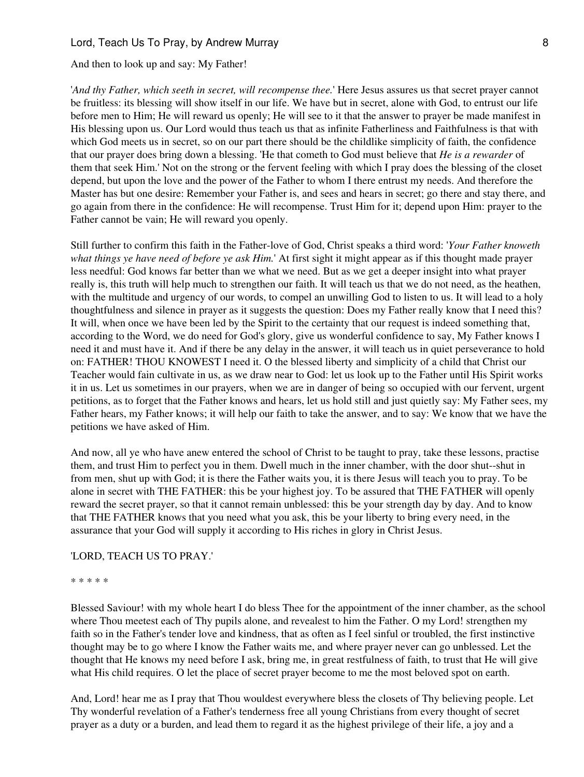And then to look up and say: My Father!

'*And thy Father, which seeth in secret, will recompense thee.*' Here Jesus assures us that secret prayer cannot be fruitless: its blessing will show itself in our life. We have but in secret, alone with God, to entrust our life before men to Him; He will reward us openly; He will see to it that the answer to prayer be made manifest in His blessing upon us. Our Lord would thus teach us that as infinite Fatherliness and Faithfulness is that with which God meets us in secret, so on our part there should be the childlike simplicity of faith, the confidence that our prayer does bring down a blessing. 'He that cometh to God must believe that *He is a rewarder* of them that seek Him.' Not on the strong or the fervent feeling with which I pray does the blessing of the closet depend, but upon the love and the power of the Father to whom I there entrust my needs. And therefore the Master has but one desire: Remember your Father is, and sees and hears in secret; go there and stay there, and go again from there in the confidence: He will recompense. Trust Him for it; depend upon Him: prayer to the Father cannot be vain; He will reward you openly.

Still further to confirm this faith in the Father-love of God, Christ speaks a third word: '*Your Father knoweth what things ye have need of before ye ask Him.*' At first sight it might appear as if this thought made prayer less needful: God knows far better than we what we need. But as we get a deeper insight into what prayer really is, this truth will help much to strengthen our faith. It will teach us that we do not need, as the heathen, with the multitude and urgency of our words, to compel an unwilling God to listen to us. It will lead to a holy thoughtfulness and silence in prayer as it suggests the question: Does my Father really know that I need this? It will, when once we have been led by the Spirit to the certainty that our request is indeed something that, according to the Word, we do need for God's glory, give us wonderful confidence to say, My Father knows I need it and must have it. And if there be any delay in the answer, it will teach us in quiet perseverance to hold on: FATHER! THOU KNOWEST I need it. O the blessed liberty and simplicity of a child that Christ our Teacher would fain cultivate in us, as we draw near to God: let us look up to the Father until His Spirit works it in us. Let us sometimes in our prayers, when we are in danger of being so occupied with our fervent, urgent petitions, as to forget that the Father knows and hears, let us hold still and just quietly say: My Father sees, my Father hears, my Father knows; it will help our faith to take the answer, and to say: We know that we have the petitions we have asked of Him.

And now, all ye who have anew entered the school of Christ to be taught to pray, take these lessons, practise them, and trust Him to perfect you in them. Dwell much in the inner chamber, with the door shut--shut in from men, shut up with God; it is there the Father waits you, it is there Jesus will teach you to pray. To be alone in secret with THE FATHER: this be your highest joy. To be assured that THE FATHER will openly reward the secret prayer, so that it cannot remain unblessed: this be your strength day by day. And to know that THE FATHER knows that you need what you ask, this be your liberty to bring every need, in the assurance that your God will supply it according to His riches in glory in Christ Jesus.

#### 'LORD, TEACH US TO PRAY.'

#### \* \* \* \* \*

Blessed Saviour! with my whole heart I do bless Thee for the appointment of the inner chamber, as the school where Thou meetest each of Thy pupils alone, and revealest to him the Father. O my Lord! strengthen my faith so in the Father's tender love and kindness, that as often as I feel sinful or troubled, the first instinctive thought may be to go where I know the Father waits me, and where prayer never can go unblessed. Let the thought that He knows my need before I ask, bring me, in great restfulness of faith, to trust that He will give what His child requires. O let the place of secret prayer become to me the most beloved spot on earth.

And, Lord! hear me as I pray that Thou wouldest everywhere bless the closets of Thy believing people. Let Thy wonderful revelation of a Father's tenderness free all young Christians from every thought of secret prayer as a duty or a burden, and lead them to regard it as the highest privilege of their life, a joy and a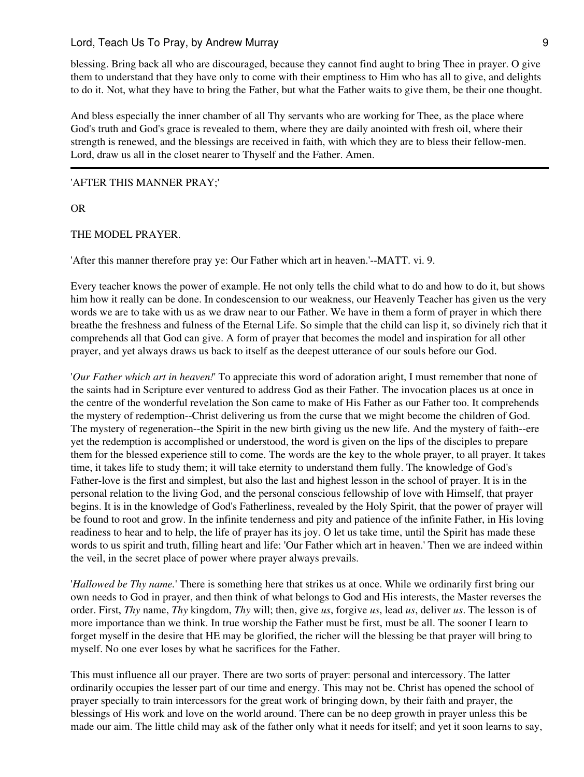blessing. Bring back all who are discouraged, because they cannot find aught to bring Thee in prayer. O give them to understand that they have only to come with their emptiness to Him who has all to give, and delights to do it. Not, what they have to bring the Father, but what the Father waits to give them, be their one thought.

And bless especially the inner chamber of all Thy servants who are working for Thee, as the place where God's truth and God's grace is revealed to them, where they are daily anointed with fresh oil, where their strength is renewed, and the blessings are received in faith, with which they are to bless their fellow-men. Lord, draw us all in the closet nearer to Thyself and the Father. Amen.

#### 'AFTER THIS MANNER PRAY;'

OR

#### THE MODEL PRAYER.

'After this manner therefore pray ye: Our Father which art in heaven.'--MATT. vi. 9.

Every teacher knows the power of example. He not only tells the child what to do and how to do it, but shows him how it really can be done. In condescension to our weakness, our Heavenly Teacher has given us the very words we are to take with us as we draw near to our Father. We have in them a form of prayer in which there breathe the freshness and fulness of the Eternal Life. So simple that the child can lisp it, so divinely rich that it comprehends all that God can give. A form of prayer that becomes the model and inspiration for all other prayer, and yet always draws us back to itself as the deepest utterance of our souls before our God.

'*Our Father which art in heaven!*' To appreciate this word of adoration aright, I must remember that none of the saints had in Scripture ever ventured to address God as their Father. The invocation places us at once in the centre of the wonderful revelation the Son came to make of His Father as our Father too. It comprehends the mystery of redemption--Christ delivering us from the curse that we might become the children of God. The mystery of regeneration--the Spirit in the new birth giving us the new life. And the mystery of faith--ere yet the redemption is accomplished or understood, the word is given on the lips of the disciples to prepare them for the blessed experience still to come. The words are the key to the whole prayer, to all prayer. It takes time, it takes life to study them; it will take eternity to understand them fully. The knowledge of God's Father-love is the first and simplest, but also the last and highest lesson in the school of prayer. It is in the personal relation to the living God, and the personal conscious fellowship of love with Himself, that prayer begins. It is in the knowledge of God's Fatherliness, revealed by the Holy Spirit, that the power of prayer will be found to root and grow. In the infinite tenderness and pity and patience of the infinite Father, in His loving readiness to hear and to help, the life of prayer has its joy. O let us take time, until the Spirit has made these words to us spirit and truth, filling heart and life: 'Our Father which art in heaven.' Then we are indeed within the veil, in the secret place of power where prayer always prevails.

'*Hallowed be Thy name.*' There is something here that strikes us at once. While we ordinarily first bring our own needs to God in prayer, and then think of what belongs to God and His interests, the Master reverses the order. First, *Thy* name, *Thy* kingdom, *Thy* will; then, give *us*, forgive *us*, lead *us*, deliver *us*. The lesson is of more importance than we think. In true worship the Father must be first, must be all. The sooner I learn to forget myself in the desire that HE may be glorified, the richer will the blessing be that prayer will bring to myself. No one ever loses by what he sacrifices for the Father.

This must influence all our prayer. There are two sorts of prayer: personal and intercessory. The latter ordinarily occupies the lesser part of our time and energy. This may not be. Christ has opened the school of prayer specially to train intercessors for the great work of bringing down, by their faith and prayer, the blessings of His work and love on the world around. There can be no deep growth in prayer unless this be made our aim. The little child may ask of the father only what it needs for itself; and yet it soon learns to say,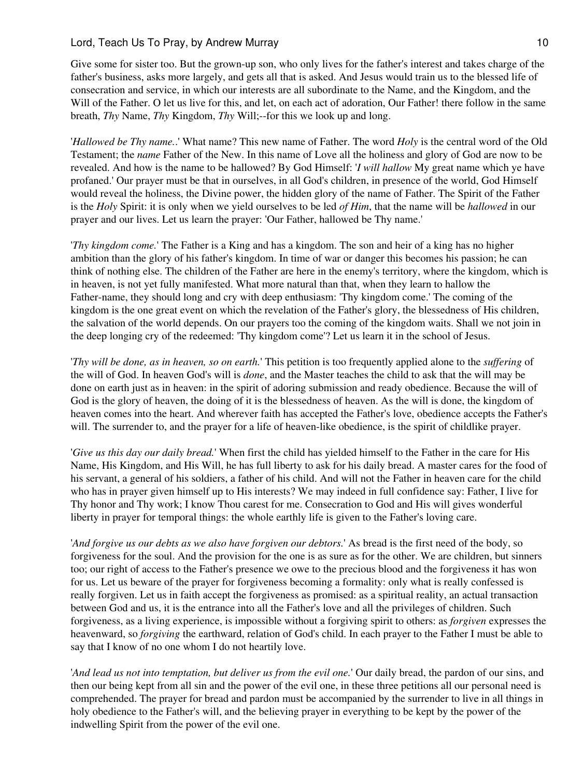Give some for sister too. But the grown-up son, who only lives for the father's interest and takes charge of the father's business, asks more largely, and gets all that is asked. And Jesus would train us to the blessed life of consecration and service, in which our interests are all subordinate to the Name, and the Kingdom, and the Will of the Father. O let us live for this, and let, on each act of adoration, Our Father! there follow in the same breath, *Thy* Name, *Thy* Kingdom, *Thy* Will;--for this we look up and long.

'*Hallowed be Thy name.*.' What name? This new name of Father. The word *Holy* is the central word of the Old Testament; the *name* Father of the New. In this name of Love all the holiness and glory of God are now to be revealed. And how is the name to be hallowed? By God Himself: '*I will hallow* My great name which ye have profaned.' Our prayer must be that in ourselves, in all God's children, in presence of the world, God Himself would reveal the holiness, the Divine power, the hidden glory of the name of Father. The Spirit of the Father is the *Holy* Spirit: it is only when we yield ourselves to be led *of Him*, that the name will be *hallowed* in our prayer and our lives. Let us learn the prayer: 'Our Father, hallowed be Thy name.'

'*Thy kingdom come.*' The Father is a King and has a kingdom. The son and heir of a king has no higher ambition than the glory of his father's kingdom. In time of war or danger this becomes his passion; he can think of nothing else. The children of the Father are here in the enemy's territory, where the kingdom, which is in heaven, is not yet fully manifested. What more natural than that, when they learn to hallow the Father-name, they should long and cry with deep enthusiasm: 'Thy kingdom come.' The coming of the kingdom is the one great event on which the revelation of the Father's glory, the blessedness of His children, the salvation of the world depends. On our prayers too the coming of the kingdom waits. Shall we not join in the deep longing cry of the redeemed: 'Thy kingdom come'? Let us learn it in the school of Jesus.

'*Thy will be done, as in heaven, so on earth.*' This petition is too frequently applied alone to the *suffering* of the will of God. In heaven God's will is *done*, and the Master teaches the child to ask that the will may be done on earth just as in heaven: in the spirit of adoring submission and ready obedience. Because the will of God is the glory of heaven, the doing of it is the blessedness of heaven. As the will is done, the kingdom of heaven comes into the heart. And wherever faith has accepted the Father's love, obedience accepts the Father's will. The surrender to, and the prayer for a life of heaven-like obedience, is the spirit of childlike prayer.

'*Give us this day our daily bread.*' When first the child has yielded himself to the Father in the care for His Name, His Kingdom, and His Will, he has full liberty to ask for his daily bread. A master cares for the food of his servant, a general of his soldiers, a father of his child. And will not the Father in heaven care for the child who has in prayer given himself up to His interests? We may indeed in full confidence say: Father, I live for Thy honor and Thy work; I know Thou carest for me. Consecration to God and His will gives wonderful liberty in prayer for temporal things: the whole earthly life is given to the Father's loving care.

'*And forgive us our debts as we also have forgiven our debtors.*' As bread is the first need of the body, so forgiveness for the soul. And the provision for the one is as sure as for the other. We are children, but sinners too; our right of access to the Father's presence we owe to the precious blood and the forgiveness it has won for us. Let us beware of the prayer for forgiveness becoming a formality: only what is really confessed is really forgiven. Let us in faith accept the forgiveness as promised: as a spiritual reality, an actual transaction between God and us, it is the entrance into all the Father's love and all the privileges of children. Such forgiveness, as a living experience, is impossible without a forgiving spirit to others: as *forgiven* expresses the heavenward, so *forgiving* the earthward, relation of God's child. In each prayer to the Father I must be able to say that I know of no one whom I do not heartily love.

'*And lead us not into temptation, but deliver us from the evil one.*' Our daily bread, the pardon of our sins, and then our being kept from all sin and the power of the evil one, in these three petitions all our personal need is comprehended. The prayer for bread and pardon must be accompanied by the surrender to live in all things in holy obedience to the Father's will, and the believing prayer in everything to be kept by the power of the indwelling Spirit from the power of the evil one.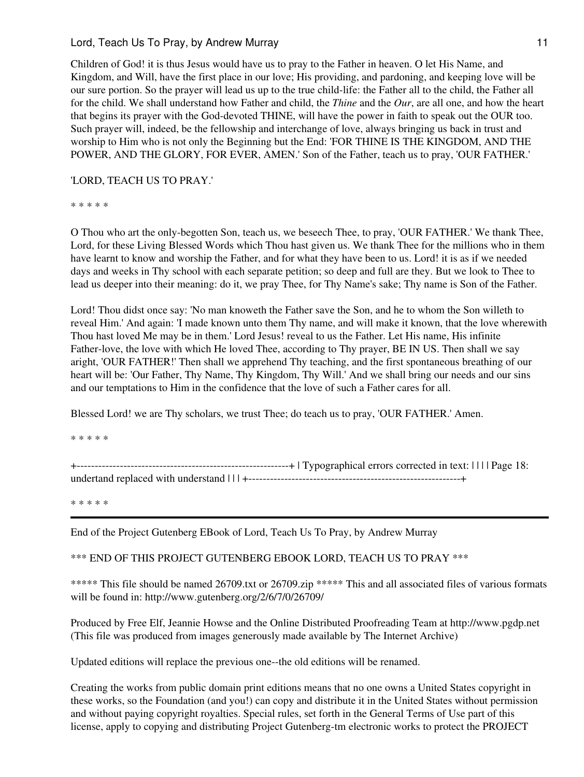Children of God! it is thus Jesus would have us to pray to the Father in heaven. O let His Name, and Kingdom, and Will, have the first place in our love; His providing, and pardoning, and keeping love will be our sure portion. So the prayer will lead us up to the true child-life: the Father all to the child, the Father all for the child. We shall understand how Father and child, the *Thine* and the *Our*, are all one, and how the heart that begins its prayer with the God-devoted THINE, will have the power in faith to speak out the OUR too. Such prayer will, indeed, be the fellowship and interchange of love, always bringing us back in trust and worship to Him who is not only the Beginning but the End: 'FOR THINE IS THE KINGDOM, AND THE POWER, AND THE GLORY, FOR EVER, AMEN.' Son of the Father, teach us to pray, 'OUR FATHER.'

## 'LORD, TEACH US TO PRAY.'

\* \* \* \* \*

O Thou who art the only-begotten Son, teach us, we beseech Thee, to pray, 'OUR FATHER.' We thank Thee, Lord, for these Living Blessed Words which Thou hast given us. We thank Thee for the millions who in them have learnt to know and worship the Father, and for what they have been to us. Lord! it is as if we needed days and weeks in Thy school with each separate petition; so deep and full are they. But we look to Thee to lead us deeper into their meaning: do it, we pray Thee, for Thy Name's sake; Thy name is Son of the Father.

Lord! Thou didst once say: 'No man knoweth the Father save the Son, and he to whom the Son willeth to reveal Him.' And again: 'I made known unto them Thy name, and will make it known, that the love wherewith Thou hast loved Me may be in them.' Lord Jesus! reveal to us the Father. Let His name, His infinite Father-love, the love with which He loved Thee, according to Thy prayer, BE IN US. Then shall we say aright, 'OUR FATHER!' Then shall we apprehend Thy teaching, and the first spontaneous breathing of our heart will be: 'Our Father, Thy Name, Thy Kingdom, Thy Will.' And we shall bring our needs and our sins and our temptations to Him in the confidence that the love of such a Father cares for all.

Blessed Lord! we are Thy scholars, we trust Thee; do teach us to pray, 'OUR FATHER.' Amen.

\* \* \* \* \*

+-----------------------------------------------------------+ | Typographical errors corrected in text: | | | | Page 18: undertand replaced with understand | | | +-----------------------------------------------------------+

\* \* \* \* \*

End of the Project Gutenberg EBook of Lord, Teach Us To Pray, by Andrew Murray

\*\*\* END OF THIS PROJECT GUTENBERG EBOOK LORD, TEACH US TO PRAY \*\*\*

\*\*\*\*\* This file should be named 26709.txt or 26709.zip \*\*\*\*\* This and all associated files of various formats will be found in: http://www.gutenberg.org/2/6/7/0/26709/

Produced by Free Elf, Jeannie Howse and the Online Distributed Proofreading Team at http://www.pgdp.net (This file was produced from images generously made available by The Internet Archive)

Updated editions will replace the previous one--the old editions will be renamed.

Creating the works from public domain print editions means that no one owns a United States copyright in these works, so the Foundation (and you!) can copy and distribute it in the United States without permission and without paying copyright royalties. Special rules, set forth in the General Terms of Use part of this license, apply to copying and distributing Project Gutenberg-tm electronic works to protect the PROJECT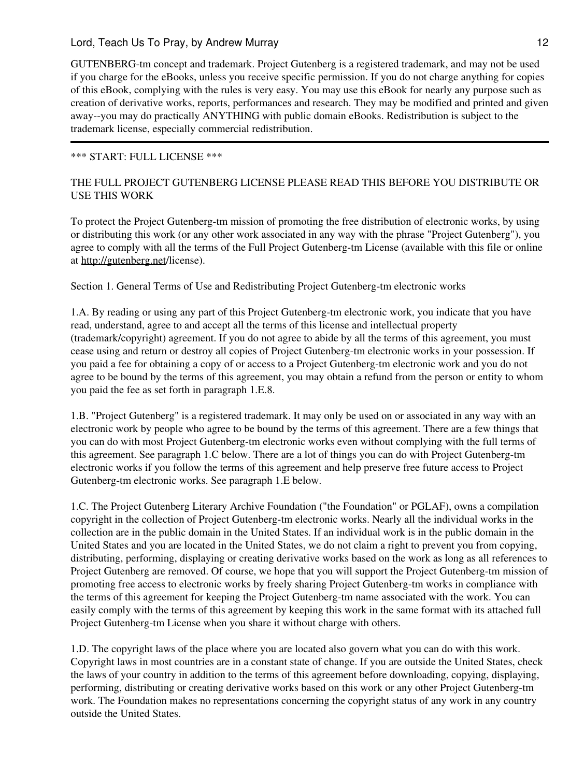GUTENBERG-tm concept and trademark. Project Gutenberg is a registered trademark, and may not be used if you charge for the eBooks, unless you receive specific permission. If you do not charge anything for copies of this eBook, complying with the rules is very easy. You may use this eBook for nearly any purpose such as creation of derivative works, reports, performances and research. They may be modified and printed and given away--you may do practically ANYTHING with public domain eBooks. Redistribution is subject to the trademark license, especially commercial redistribution.

## \*\*\* START: FULL LICENSE \*\*\*

# THE FULL PROJECT GUTENBERG LICENSE PLEASE READ THIS BEFORE YOU DISTRIBUTE OR USE THIS WORK

To protect the Project Gutenberg-tm mission of promoting the free distribution of electronic works, by using or distributing this work (or any other work associated in any way with the phrase "Project Gutenberg"), you agree to comply with all the terms of the Full Project Gutenberg-tm License (available with this file or online at <http://gutenberg.net>/license).

Section 1. General Terms of Use and Redistributing Project Gutenberg-tm electronic works

1.A. By reading or using any part of this Project Gutenberg-tm electronic work, you indicate that you have read, understand, agree to and accept all the terms of this license and intellectual property (trademark/copyright) agreement. If you do not agree to abide by all the terms of this agreement, you must cease using and return or destroy all copies of Project Gutenberg-tm electronic works in your possession. If you paid a fee for obtaining a copy of or access to a Project Gutenberg-tm electronic work and you do not agree to be bound by the terms of this agreement, you may obtain a refund from the person or entity to whom you paid the fee as set forth in paragraph 1.E.8.

1.B. "Project Gutenberg" is a registered trademark. It may only be used on or associated in any way with an electronic work by people who agree to be bound by the terms of this agreement. There are a few things that you can do with most Project Gutenberg-tm electronic works even without complying with the full terms of this agreement. See paragraph 1.C below. There are a lot of things you can do with Project Gutenberg-tm electronic works if you follow the terms of this agreement and help preserve free future access to Project Gutenberg-tm electronic works. See paragraph 1.E below.

1.C. The Project Gutenberg Literary Archive Foundation ("the Foundation" or PGLAF), owns a compilation copyright in the collection of Project Gutenberg-tm electronic works. Nearly all the individual works in the collection are in the public domain in the United States. If an individual work is in the public domain in the United States and you are located in the United States, we do not claim a right to prevent you from copying, distributing, performing, displaying or creating derivative works based on the work as long as all references to Project Gutenberg are removed. Of course, we hope that you will support the Project Gutenberg-tm mission of promoting free access to electronic works by freely sharing Project Gutenberg-tm works in compliance with the terms of this agreement for keeping the Project Gutenberg-tm name associated with the work. You can easily comply with the terms of this agreement by keeping this work in the same format with its attached full Project Gutenberg-tm License when you share it without charge with others.

1.D. The copyright laws of the place where you are located also govern what you can do with this work. Copyright laws in most countries are in a constant state of change. If you are outside the United States, check the laws of your country in addition to the terms of this agreement before downloading, copying, displaying, performing, distributing or creating derivative works based on this work or any other Project Gutenberg-tm work. The Foundation makes no representations concerning the copyright status of any work in any country outside the United States.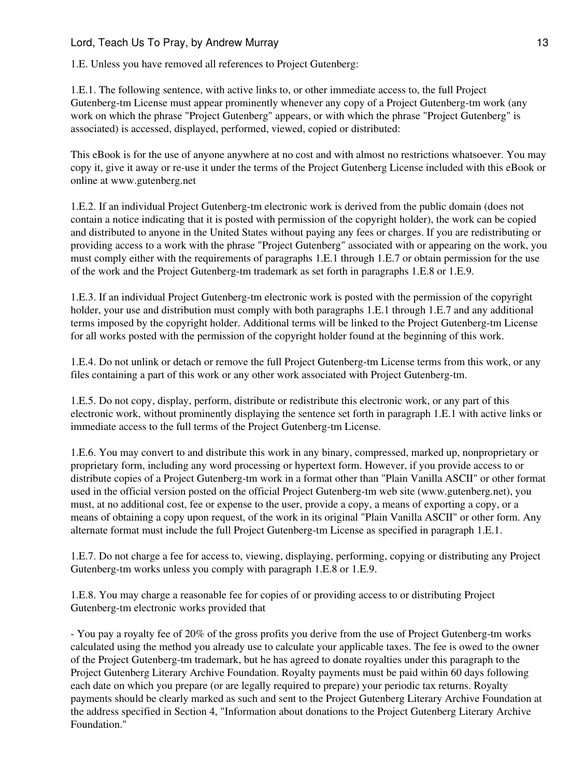1.E. Unless you have removed all references to Project Gutenberg:

1.E.1. The following sentence, with active links to, or other immediate access to, the full Project Gutenberg-tm License must appear prominently whenever any copy of a Project Gutenberg-tm work (any work on which the phrase "Project Gutenberg" appears, or with which the phrase "Project Gutenberg" is associated) is accessed, displayed, performed, viewed, copied or distributed:

This eBook is for the use of anyone anywhere at no cost and with almost no restrictions whatsoever. You may copy it, give it away or re-use it under the terms of the Project Gutenberg License included with this eBook or online at www.gutenberg.net

1.E.2. If an individual Project Gutenberg-tm electronic work is derived from the public domain (does not contain a notice indicating that it is posted with permission of the copyright holder), the work can be copied and distributed to anyone in the United States without paying any fees or charges. If you are redistributing or providing access to a work with the phrase "Project Gutenberg" associated with or appearing on the work, you must comply either with the requirements of paragraphs 1.E.1 through 1.E.7 or obtain permission for the use of the work and the Project Gutenberg-tm trademark as set forth in paragraphs 1.E.8 or 1.E.9.

1.E.3. If an individual Project Gutenberg-tm electronic work is posted with the permission of the copyright holder, your use and distribution must comply with both paragraphs 1.E.1 through 1.E.7 and any additional terms imposed by the copyright holder. Additional terms will be linked to the Project Gutenberg-tm License for all works posted with the permission of the copyright holder found at the beginning of this work.

1.E.4. Do not unlink or detach or remove the full Project Gutenberg-tm License terms from this work, or any files containing a part of this work or any other work associated with Project Gutenberg-tm.

1.E.5. Do not copy, display, perform, distribute or redistribute this electronic work, or any part of this electronic work, without prominently displaying the sentence set forth in paragraph 1.E.1 with active links or immediate access to the full terms of the Project Gutenberg-tm License.

1.E.6. You may convert to and distribute this work in any binary, compressed, marked up, nonproprietary or proprietary form, including any word processing or hypertext form. However, if you provide access to or distribute copies of a Project Gutenberg-tm work in a format other than "Plain Vanilla ASCII" or other format used in the official version posted on the official Project Gutenberg-tm web site (www.gutenberg.net), you must, at no additional cost, fee or expense to the user, provide a copy, a means of exporting a copy, or a means of obtaining a copy upon request, of the work in its original "Plain Vanilla ASCII" or other form. Any alternate format must include the full Project Gutenberg-tm License as specified in paragraph 1.E.1.

1.E.7. Do not charge a fee for access to, viewing, displaying, performing, copying or distributing any Project Gutenberg-tm works unless you comply with paragraph 1.E.8 or 1.E.9.

1.E.8. You may charge a reasonable fee for copies of or providing access to or distributing Project Gutenberg-tm electronic works provided that

- You pay a royalty fee of 20% of the gross profits you derive from the use of Project Gutenberg-tm works calculated using the method you already use to calculate your applicable taxes. The fee is owed to the owner of the Project Gutenberg-tm trademark, but he has agreed to donate royalties under this paragraph to the Project Gutenberg Literary Archive Foundation. Royalty payments must be paid within 60 days following each date on which you prepare (or are legally required to prepare) your periodic tax returns. Royalty payments should be clearly marked as such and sent to the Project Gutenberg Literary Archive Foundation at the address specified in Section 4, "Information about donations to the Project Gutenberg Literary Archive Foundation."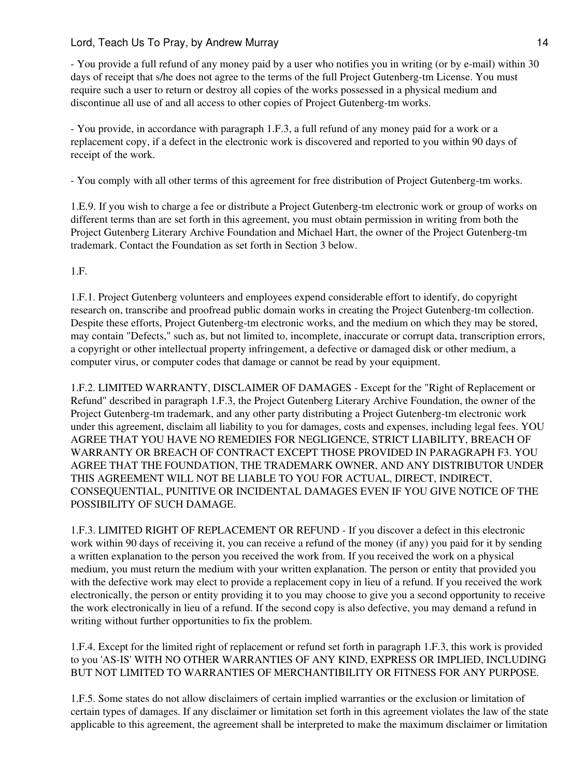- You provide a full refund of any money paid by a user who notifies you in writing (or by e-mail) within 30 days of receipt that s/he does not agree to the terms of the full Project Gutenberg-tm License. You must require such a user to return or destroy all copies of the works possessed in a physical medium and discontinue all use of and all access to other copies of Project Gutenberg-tm works.

- You provide, in accordance with paragraph 1.F.3, a full refund of any money paid for a work or a replacement copy, if a defect in the electronic work is discovered and reported to you within 90 days of receipt of the work.

- You comply with all other terms of this agreement for free distribution of Project Gutenberg-tm works.

1.E.9. If you wish to charge a fee or distribute a Project Gutenberg-tm electronic work or group of works on different terms than are set forth in this agreement, you must obtain permission in writing from both the Project Gutenberg Literary Archive Foundation and Michael Hart, the owner of the Project Gutenberg-tm trademark. Contact the Foundation as set forth in Section 3 below.

1.F.

1.F.1. Project Gutenberg volunteers and employees expend considerable effort to identify, do copyright research on, transcribe and proofread public domain works in creating the Project Gutenberg-tm collection. Despite these efforts, Project Gutenberg-tm electronic works, and the medium on which they may be stored, may contain "Defects," such as, but not limited to, incomplete, inaccurate or corrupt data, transcription errors, a copyright or other intellectual property infringement, a defective or damaged disk or other medium, a computer virus, or computer codes that damage or cannot be read by your equipment.

1.F.2. LIMITED WARRANTY, DISCLAIMER OF DAMAGES - Except for the "Right of Replacement or Refund" described in paragraph 1.F.3, the Project Gutenberg Literary Archive Foundation, the owner of the Project Gutenberg-tm trademark, and any other party distributing a Project Gutenberg-tm electronic work under this agreement, disclaim all liability to you for damages, costs and expenses, including legal fees. YOU AGREE THAT YOU HAVE NO REMEDIES FOR NEGLIGENCE, STRICT LIABILITY, BREACH OF WARRANTY OR BREACH OF CONTRACT EXCEPT THOSE PROVIDED IN PARAGRAPH F3. YOU AGREE THAT THE FOUNDATION, THE TRADEMARK OWNER, AND ANY DISTRIBUTOR UNDER THIS AGREEMENT WILL NOT BE LIABLE TO YOU FOR ACTUAL, DIRECT, INDIRECT, CONSEQUENTIAL, PUNITIVE OR INCIDENTAL DAMAGES EVEN IF YOU GIVE NOTICE OF THE POSSIBILITY OF SUCH DAMAGE.

1.F.3. LIMITED RIGHT OF REPLACEMENT OR REFUND - If you discover a defect in this electronic work within 90 days of receiving it, you can receive a refund of the money (if any) you paid for it by sending a written explanation to the person you received the work from. If you received the work on a physical medium, you must return the medium with your written explanation. The person or entity that provided you with the defective work may elect to provide a replacement copy in lieu of a refund. If you received the work electronically, the person or entity providing it to you may choose to give you a second opportunity to receive the work electronically in lieu of a refund. If the second copy is also defective, you may demand a refund in writing without further opportunities to fix the problem.

1.F.4. Except for the limited right of replacement or refund set forth in paragraph 1.F.3, this work is provided to you 'AS-IS' WITH NO OTHER WARRANTIES OF ANY KIND, EXPRESS OR IMPLIED, INCLUDING BUT NOT LIMITED TO WARRANTIES OF MERCHANTIBILITY OR FITNESS FOR ANY PURPOSE.

1.F.5. Some states do not allow disclaimers of certain implied warranties or the exclusion or limitation of certain types of damages. If any disclaimer or limitation set forth in this agreement violates the law of the state applicable to this agreement, the agreement shall be interpreted to make the maximum disclaimer or limitation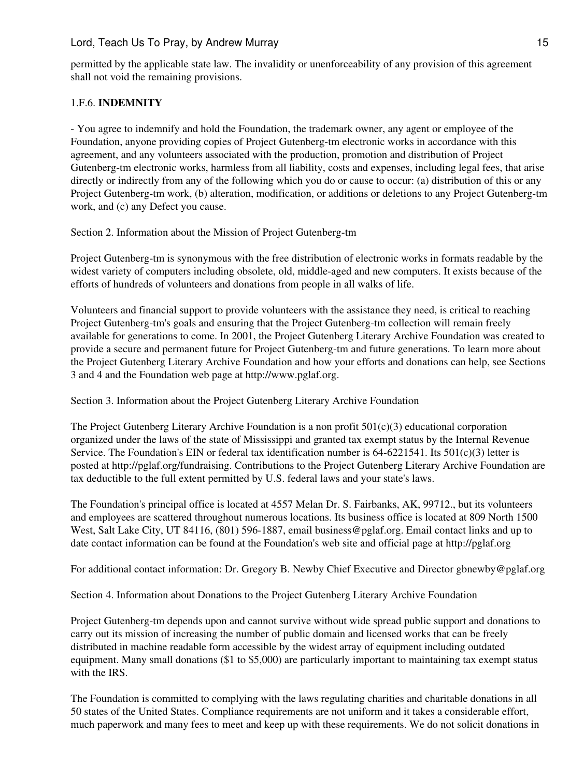permitted by the applicable state law. The invalidity or unenforceability of any provision of this agreement shall not void the remaining provisions.

## 1.F.6. **INDEMNITY**

- You agree to indemnify and hold the Foundation, the trademark owner, any agent or employee of the Foundation, anyone providing copies of Project Gutenberg-tm electronic works in accordance with this agreement, and any volunteers associated with the production, promotion and distribution of Project Gutenberg-tm electronic works, harmless from all liability, costs and expenses, including legal fees, that arise directly or indirectly from any of the following which you do or cause to occur: (a) distribution of this or any Project Gutenberg-tm work, (b) alteration, modification, or additions or deletions to any Project Gutenberg-tm work, and (c) any Defect you cause.

Section 2. Information about the Mission of Project Gutenberg-tm

Project Gutenberg-tm is synonymous with the free distribution of electronic works in formats readable by the widest variety of computers including obsolete, old, middle-aged and new computers. It exists because of the efforts of hundreds of volunteers and donations from people in all walks of life.

Volunteers and financial support to provide volunteers with the assistance they need, is critical to reaching Project Gutenberg-tm's goals and ensuring that the Project Gutenberg-tm collection will remain freely available for generations to come. In 2001, the Project Gutenberg Literary Archive Foundation was created to provide a secure and permanent future for Project Gutenberg-tm and future generations. To learn more about the Project Gutenberg Literary Archive Foundation and how your efforts and donations can help, see Sections 3 and 4 and the Foundation web page at http://www.pglaf.org.

Section 3. Information about the Project Gutenberg Literary Archive Foundation

The Project Gutenberg Literary Archive Foundation is a non profit  $501(c)(3)$  educational corporation organized under the laws of the state of Mississippi and granted tax exempt status by the Internal Revenue Service. The Foundation's EIN or federal tax identification number is  $64-6221541$ . Its  $501(c)(3)$  letter is posted at http://pglaf.org/fundraising. Contributions to the Project Gutenberg Literary Archive Foundation are tax deductible to the full extent permitted by U.S. federal laws and your state's laws.

The Foundation's principal office is located at 4557 Melan Dr. S. Fairbanks, AK, 99712., but its volunteers and employees are scattered throughout numerous locations. Its business office is located at 809 North 1500 West, Salt Lake City, UT 84116, (801) 596-1887, email business@pglaf.org. Email contact links and up to date contact information can be found at the Foundation's web site and official page at http://pglaf.org

For additional contact information: Dr. Gregory B. Newby Chief Executive and Director gbnewby@pglaf.org

Section 4. Information about Donations to the Project Gutenberg Literary Archive Foundation

Project Gutenberg-tm depends upon and cannot survive without wide spread public support and donations to carry out its mission of increasing the number of public domain and licensed works that can be freely distributed in machine readable form accessible by the widest array of equipment including outdated equipment. Many small donations (\$1 to \$5,000) are particularly important to maintaining tax exempt status with the IRS.

The Foundation is committed to complying with the laws regulating charities and charitable donations in all 50 states of the United States. Compliance requirements are not uniform and it takes a considerable effort, much paperwork and many fees to meet and keep up with these requirements. We do not solicit donations in